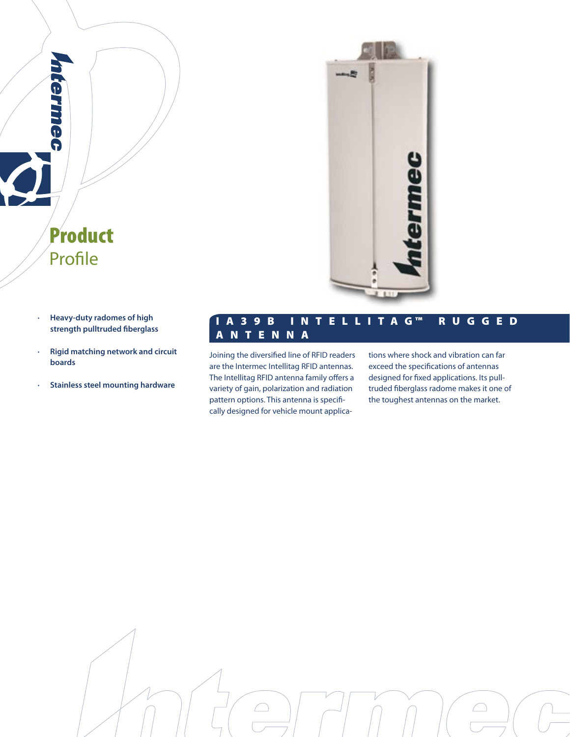

**· Heavy-duty radomes of high strength pulltruded fiberglass**

Product

Profile

**Cermec** 

- **· Rigid matching network and circuit boards**
- **· Stainless steel mounting hardware**

## I A 3 9 B I N T E L L I T A G ™ R U G G E D A N T E N N A

Joining the diversified line of RFID readers are the Intermec Intellitag RFID antennas. The Intellitag RFID antenna family offers a variety of gain, polarization and radiation pattern options. This antenna is specifically designed for vehicle mount applications where shock and vibration can far exceed the specifications of antennas designed for fixed applications. Its pulltruded fiberglass radome makes it one of the toughest antennas on the market.